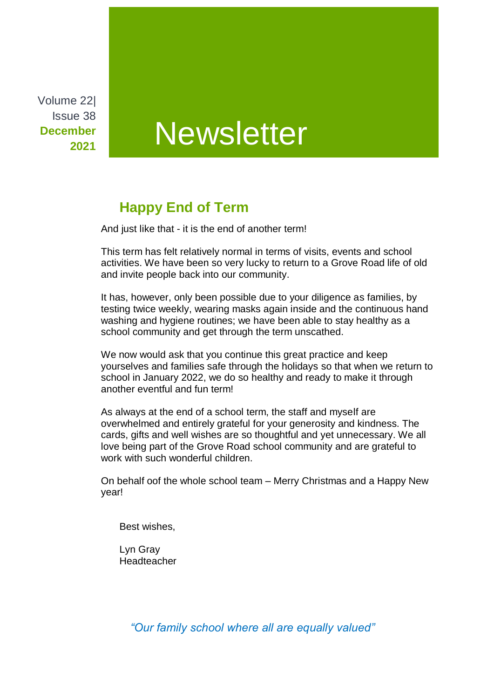Volume 22| Issue 38 **December 2021**

# **Newsletter**

## **Happy End of Term**

And just like that - it is the end of another term!

This term has felt relatively normal in terms of visits, events and school activities. We have been so very lucky to return to a Grove Road life of old and invite people back into our community.

It has, however, only been possible due to your diligence as families, by testing twice weekly, wearing masks again inside and the continuous hand washing and hygiene routines; we have been able to stay healthy as a school community and get through the term unscathed.

We now would ask that you continue this great practice and keep yourselves and families safe through the holidays so that when we return to school in January 2022, we do so healthy and ready to make it through another eventful and fun term!

As always at the end of a school term, the staff and myself are overwhelmed and entirely grateful for your generosity and kindness. The cards, gifts and well wishes are so thoughtful and yet unnecessary. We all love being part of the Grove Road school community and are grateful to work with such wonderful children.

On behalf oof the whole school team – Merry Christmas and a Happy New year!

Best wishes,

Lyn Gray **Headteacher** 

*"Our family school where all are equally valued"*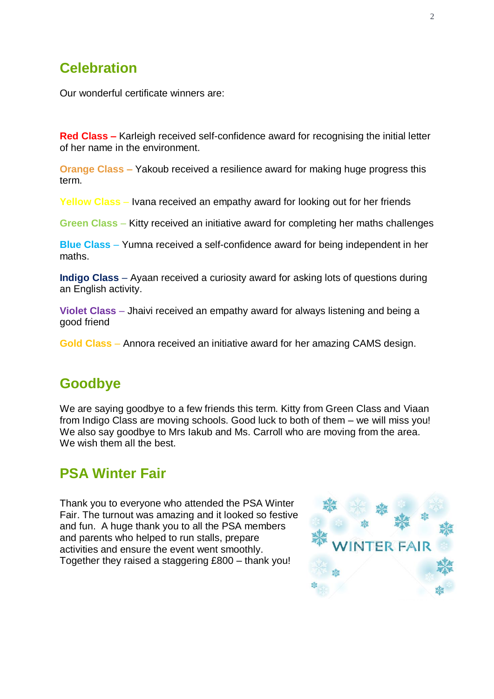### **Celebration**

Our wonderful certificate winners are:

**Red Class –** Karleigh received self-confidence award for recognising the initial letter of her name in the environment.

**Orange Class –** Yakoub received a resilience award for making huge progress this term.

**Yellow Class** – Ivana received an empathy award for looking out for her friends

**Green Class** – Kitty received an initiative award for completing her maths challenges

**Blue Class** – Yumna received a self-confidence award for being independent in her maths.

**Indigo Class** – Ayaan received a curiosity award for asking lots of questions during an English activity.

**Violet Class** – Jhaivi received an empathy award for always listening and being a good friend

**Gold Class** – Annora received an initiative award for her amazing CAMS design.

#### **Goodbye**

We are saying goodbye to a few friends this term. Kitty from Green Class and Viaan from Indigo Class are moving schools. Good luck to both of them – we will miss you! We also say goodbye to Mrs Iakub and Ms. Carroll who are moving from the area. We wish them all the best.

#### **PSA Winter Fair**

Thank you to everyone who attended the PSA Winter Fair. The turnout was amazing and it looked so festive and fun. A huge thank you to all the PSA members and parents who helped to run stalls, prepare activities and ensure the event went smoothly. Together they raised a staggering £800 – thank you!

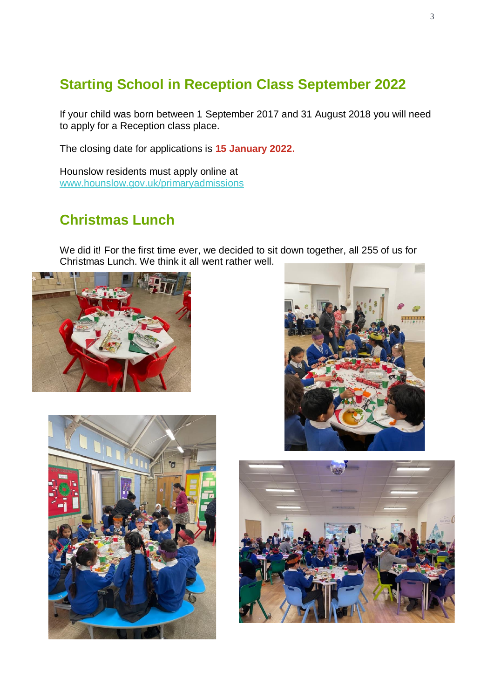# **Starting School in Reception Class September 2022**

If your child was born between 1 September 2017 and 31 August 2018 you will need to apply for a Reception class place.

The closing date for applications is **15 January 2022.**

Hounslow residents must apply online at [www.hounslow.gov.uk/primaryadmissions](http://www.hounslow.gov.uk/primaryadmissions)

# **Christmas Lunch**

We did it! For the first time ever, we decided to sit down together, all 255 of us for Christmas Lunch. We think it all went rather well.